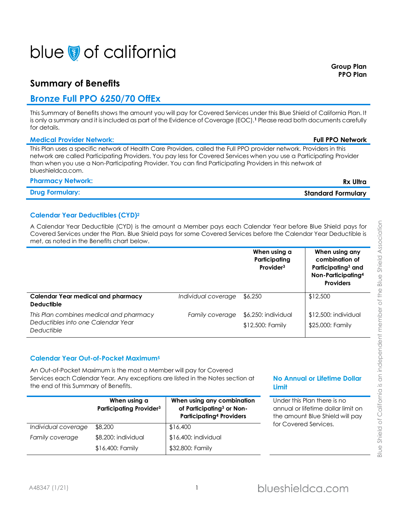# blue of california

## **Summary of Benefits**

# **Bronze Full PPO 6250/70 OffEx**

This Summary of Benefits shows the amount you will pay for Covered Services under this Blue Shield of California Plan. It is only a summary and it is included as part of the Evidence of Coverage (EOC).**<sup>1</sup>** Please read both documents carefully for details.

### **Medical Provider Network: Full PPO Network**

This Plan uses a specific network of Health Care Providers, called the Full PPO provider network. Providers in this network are called Participating Providers. You pay less for Covered Services when you use a Participating Provider than when you use a Non-Participating Provider. You can find Participating Providers in this network at blueshieldca.com.

### **Pharmacy Network: Rx Ultra**

| <b>Drug Formulary:</b> |  |
|------------------------|--|

### **Calendar Year Deductibles (CYD)<sup>2</sup>**

A Calendar Year Deductible (CYD) is the amount a Member pays each Calendar Year before Blue Shield pays for Covered Services under the Plan. Blue Shield pays for some Covered Services before the Calendar Year Deductible is met, as noted in the Benefits chart below.

|                                                                                             |                     | When using a<br>Participating<br>Provider <sup>3</sup> | When using any<br>combination of<br>Participating <sup>3</sup> and<br>Non-Participating <sup>4</sup><br><b>Providers</b> |
|---------------------------------------------------------------------------------------------|---------------------|--------------------------------------------------------|--------------------------------------------------------------------------------------------------------------------------|
| Calendar Year medical and pharmacy<br><b>Deductible</b>                                     | Individual coverage | \$6,250                                                | \$12,500                                                                                                                 |
| This Plan combines medical and pharmacy<br>Deductibles into one Calendar Year<br>Deductible | Family coverage     | \$6,250: individual<br>\$12,500: Family                | $$12,500$ : individual<br>\$25,000: Family                                                                               |

### **Calendar Year Out-of-Pocket Maximum<sup>5</sup>**

An Out-of-Pocket Maximum is the most a Member will pay for Covered Services each Calendar Year. Any exceptions are listed in the Notes section at the end of this Summary of Benefits.

|                     | When using a<br><b>Participating Provider3</b> | When using any combination<br>of Participating <sup>3</sup> or Non-<br><b>Participating4 Providers</b> |
|---------------------|------------------------------------------------|--------------------------------------------------------------------------------------------------------|
| Individual coverage | \$8,200                                        | \$16,400                                                                                               |
| Family coverage     | \$8,200: individual                            | \$16,400: individual                                                                                   |
|                     | \$16,400: Family                               | \$32,800: Family                                                                                       |

### **No Annual or Lifetime Dollar Limit**

Under this Plan there is no annual or lifetime dollar limit on the amount Blue Shield will pay for Covered Services.

**Drug Formulary: Standard Formulary**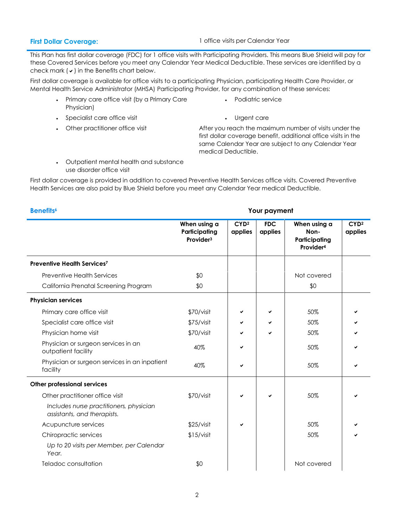**First Dollar Coverage:** 1 office visits per Calendar Year

This Plan has first dollar coverage (FDC) for 1 office visits with Participating Providers. This means Blue Shield will pay for these Covered Services before you meet any Calendar Year Medical Deductible. These services are identified by a check mark  $(v)$  in the Benefits chart below.

First dollar coverage is available for office visits to a participating Physician, participating Health Care Provider, or Mental Health Service Administrator (MHSA) Participating Provider, for any combination of these services:

- Primary care office visit (by a Primary Care Physician)
- Specialist care office visit **Example 20 in the Care**
- 

# Podiatric service

• Other practitioner office visit **After you reach the maximum number of visits under the** first dollar coverage benefit, additional office visits in the same Calendar Year are subject to any Calendar Year medical Deductible.

 Outpatient mental health and substance use disorder office visit

First dollar coverage is provided in addition to covered Preventive Health Services office visits. Covered Preventive Health Services are also paid by Blue Shield before you meet any Calendar Year medical Deductible.

**Benefits<sup>6</sup> Your payment When using a Participating Provider<sup>3</sup> CYD<sup>2</sup> applies FDC applies When using a Non-Participating Provider<sup>4</sup> CYD<sup>2</sup> applies Preventive Health Services<sup>7</sup>** Preventive Health Services **\$0** Not covered the Services **\$0** Not covered California Prenatal Screening Program  $$0$  \$0  $$0$  \$0 **Physician services** Primary care office visit **EXEC 1** SO TO SO TO SO THE SO THE SO THE SO THE SO THE SO THE SO THE SO THE SO THE SO T Specialist care office visit **1992 COVID-SOVIS** Specialist care office visit **50%** Physician home visit  $$70/visit$   $\sim$   $\sim$   $\sim$  50% Physician or surgeon services in an outpatient facility 60% and the contract of the state outpatient facility outpatient facility Physician or surgeon services in an inpatient rhysician or sorgeon services in an inpaner in  $40\%$   $\vert\phantom{a} \vert$   $\vert\phantom{a}$   $\vert$   $\vert$   $\vert$   $\vert$   $\vert$  50%  $\vert$   $\vert$   $\vert$   $\vert$ **Other professional services** Other practitioner office visit **10. In the STO**/visit **10. In the STO**/visit **10. In the STO**% *Includes nurse practitioners, physician assistants, and therapists.* Acupuncture services and the services of the services of the services of the services of the services of the s Chiropractic services and the services of the state of the state  $$15/$ visit  $$50\%$ *Up to 20 visits per Member, per Calendar Year.*  Teladoc consultation and the set of the set of the set of the set of the set of the set of the set of the set o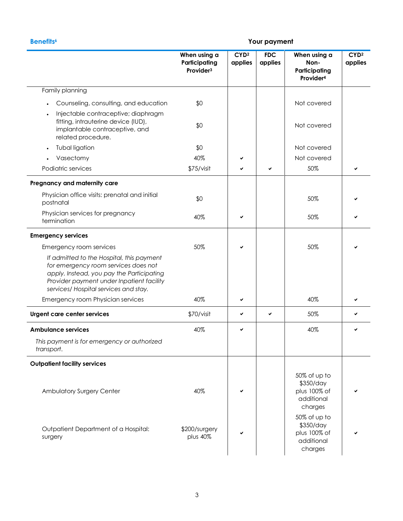### **Benefits<sup>6</sup> Your payment**

|                                                                                                                                                                                                                      | When using a<br>Participating<br>Provider <sup>3</sup> | CYD <sup>2</sup><br>applies | <b>FDC</b><br>applies | When using a<br>Non-<br>Participating<br>Provider <sup>4</sup>     | CYD <sup>2</sup><br>applies |
|----------------------------------------------------------------------------------------------------------------------------------------------------------------------------------------------------------------------|--------------------------------------------------------|-----------------------------|-----------------------|--------------------------------------------------------------------|-----------------------------|
| Family planning                                                                                                                                                                                                      |                                                        |                             |                       |                                                                    |                             |
| Counseling, consulting, and education<br>Injectable contraceptive; diaphragm                                                                                                                                         | \$0                                                    |                             |                       | Not covered                                                        |                             |
| fitting, intrauterine device (IUD),<br>implantable contraceptive, and<br>related procedure.                                                                                                                          | \$0                                                    |                             |                       | Not covered                                                        |                             |
| Tubal ligation<br>$\bullet$                                                                                                                                                                                          | \$0                                                    |                             |                       | Not covered                                                        |                             |
| Vasectomy                                                                                                                                                                                                            | 40%                                                    |                             |                       | Not covered                                                        |                             |
| Podiatric services                                                                                                                                                                                                   | \$75/visit                                             |                             | ✓                     | 50%                                                                |                             |
| Pregnancy and maternity care                                                                                                                                                                                         |                                                        |                             |                       |                                                                    |                             |
| Physician office visits: prenatal and initial<br>postnatal                                                                                                                                                           | \$0                                                    |                             |                       | 50%                                                                |                             |
| Physician services for pregnancy<br>termination                                                                                                                                                                      | 40%                                                    |                             |                       | 50%                                                                |                             |
| <b>Emergency services</b>                                                                                                                                                                                            |                                                        |                             |                       |                                                                    |                             |
| Emergency room services                                                                                                                                                                                              | 50%                                                    | ✔                           |                       | 50%                                                                |                             |
| If admitted to the Hospital, this payment<br>for emergency room services does not<br>apply. Instead, you pay the Participating<br>Provider payment under Inpatient facility<br>services/ Hospital services and stay. |                                                        |                             |                       |                                                                    |                             |
| Emergency room Physician services                                                                                                                                                                                    | 40%                                                    | ✔                           |                       | 40%                                                                |                             |
| Urgent care center services                                                                                                                                                                                          | \$70/visit                                             | ✔                           | ✓                     | 50%                                                                |                             |
| <b>Ambulance services</b>                                                                                                                                                                                            | 40%                                                    | ✓                           |                       | 40%                                                                |                             |
| This payment is for emergency or authorized<br>transport.                                                                                                                                                            |                                                        |                             |                       |                                                                    |                             |
| <b>Outpatient facility services</b>                                                                                                                                                                                  |                                                        |                             |                       |                                                                    |                             |
| Ambulatory Surgery Center                                                                                                                                                                                            | 40%                                                    |                             |                       | 50% of up to<br>\$350/day<br>plus 100% of<br>additional<br>charges |                             |
| Outpatient Department of a Hospital:<br>surgery                                                                                                                                                                      | \$200/surgery<br>plus 40%                              |                             |                       | 50% of up to<br>\$350/day<br>plus 100% of<br>additional<br>charges |                             |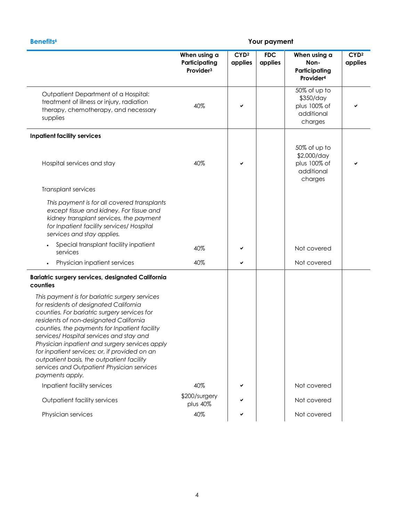### **Benefits<sup>6</sup> Your payment**

|                                                                                                                                                                                                                                                                                                                                                                                                                                                                                                  | When using a<br>Participating<br>Provider <sup>3</sup> | CYD <sup>2</sup><br>applies | <b>FDC</b><br>applies | When using a<br>Non-<br>Participating<br>Provider <sup>4</sup>       | CYD <sup>2</sup><br>applies |
|--------------------------------------------------------------------------------------------------------------------------------------------------------------------------------------------------------------------------------------------------------------------------------------------------------------------------------------------------------------------------------------------------------------------------------------------------------------------------------------------------|--------------------------------------------------------|-----------------------------|-----------------------|----------------------------------------------------------------------|-----------------------------|
| Outpatient Department of a Hospital:<br>treatment of illness or injury, radiation<br>therapy, chemotherapy, and necessary<br>supplies                                                                                                                                                                                                                                                                                                                                                            | 40%                                                    | ✔                           |                       | 50% of up to<br>\$350/day<br>plus 100% of<br>additional<br>charges   |                             |
| <b>Inpatient facility services</b>                                                                                                                                                                                                                                                                                                                                                                                                                                                               |                                                        |                             |                       |                                                                      |                             |
| Hospital services and stay                                                                                                                                                                                                                                                                                                                                                                                                                                                                       | 40%                                                    |                             |                       | 50% of up to<br>\$2,000/day<br>plus 100% of<br>additional<br>charges |                             |
| Transplant services                                                                                                                                                                                                                                                                                                                                                                                                                                                                              |                                                        |                             |                       |                                                                      |                             |
| This payment is for all covered transplants<br>except tissue and kidney. For tissue and<br>kidney transplant services, the payment<br>for Inpatient facility services/ Hospital<br>services and stay applies.                                                                                                                                                                                                                                                                                    |                                                        |                             |                       |                                                                      |                             |
| Special transplant facility inpatient<br>services                                                                                                                                                                                                                                                                                                                                                                                                                                                | 40%                                                    |                             |                       | Not covered                                                          |                             |
| Physician inpatient services                                                                                                                                                                                                                                                                                                                                                                                                                                                                     | 40%                                                    | ✔                           |                       | Not covered                                                          |                             |
| Bariatric surgery services, designated California<br>counties                                                                                                                                                                                                                                                                                                                                                                                                                                    |                                                        |                             |                       |                                                                      |                             |
| This payment is for bariatric surgery services<br>for residents of designated California<br>counties. For bariatric surgery services for<br>residents of non-designated California<br>counties, the payments for Inpatient facility<br>services/ Hospital services and stay and<br>Physician inpatient and surgery services apply<br>for inpatient services; or, if provided on an<br>outpatient basis, the outpatient facility<br>services and Outpatient Physician services<br>payments apply. |                                                        |                             |                       |                                                                      |                             |
| Inpatient facility services                                                                                                                                                                                                                                                                                                                                                                                                                                                                      | 40%                                                    |                             |                       | Not covered                                                          |                             |
| Outpatient facility services                                                                                                                                                                                                                                                                                                                                                                                                                                                                     | \$200/surgery<br>plus 40%                              |                             |                       | Not covered                                                          |                             |
| Physician services                                                                                                                                                                                                                                                                                                                                                                                                                                                                               | 40%                                                    |                             |                       | Not covered                                                          |                             |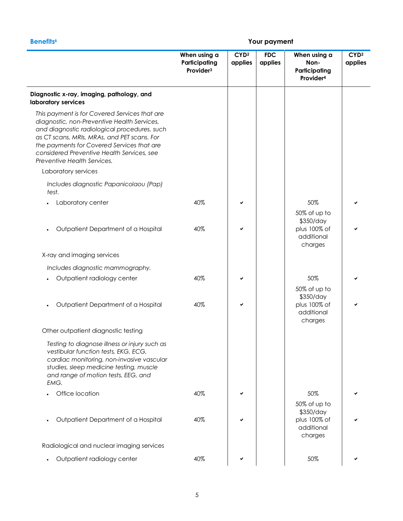|                                                                                                                                                                                                                                                                                                                        | When using a<br>Participating<br>Provider <sup>3</sup> | CYD <sup>2</sup><br>applies | <b>FDC</b><br>applies | When using a<br>Non-<br>Participating<br>Provider <sup>4</sup>     | CYD <sup>2</sup><br>applies |
|------------------------------------------------------------------------------------------------------------------------------------------------------------------------------------------------------------------------------------------------------------------------------------------------------------------------|--------------------------------------------------------|-----------------------------|-----------------------|--------------------------------------------------------------------|-----------------------------|
| Diagnostic x-ray, imaging, pathology, and<br>laboratory services                                                                                                                                                                                                                                                       |                                                        |                             |                       |                                                                    |                             |
| This payment is for Covered Services that are<br>diagnostic, non-Preventive Health Services,<br>and diagnostic radiological procedures, such<br>as CT scans, MRIs, MRAs, and PET scans. For<br>the payments for Covered Services that are<br>considered Preventive Health Services, see<br>Preventive Health Services. |                                                        |                             |                       |                                                                    |                             |
| Laboratory services                                                                                                                                                                                                                                                                                                    |                                                        |                             |                       |                                                                    |                             |
| Includes diagnostic Papanicolaou (Pap)<br>test.                                                                                                                                                                                                                                                                        |                                                        |                             |                       |                                                                    |                             |
| Laboratory center                                                                                                                                                                                                                                                                                                      | 40%                                                    |                             |                       | 50%                                                                |                             |
|                                                                                                                                                                                                                                                                                                                        |                                                        |                             |                       | 50% of up to<br>\$350/day                                          |                             |
| Outpatient Department of a Hospital                                                                                                                                                                                                                                                                                    | 40%                                                    |                             |                       | plus 100% of<br>additional<br>charges                              |                             |
| X-ray and imaging services                                                                                                                                                                                                                                                                                             |                                                        |                             |                       |                                                                    |                             |
| Includes diagnostic mammography.                                                                                                                                                                                                                                                                                       |                                                        |                             |                       |                                                                    |                             |
| Outpatient radiology center                                                                                                                                                                                                                                                                                            | 40%                                                    | ✓                           |                       | 50%                                                                |                             |
|                                                                                                                                                                                                                                                                                                                        |                                                        |                             |                       | 50% of up to                                                       |                             |
| Outpatient Department of a Hospital                                                                                                                                                                                                                                                                                    | 40%                                                    | ✔                           |                       | \$350/day<br>plus 100% of<br>additional<br>charges                 |                             |
| Other outpatient diagnostic testing                                                                                                                                                                                                                                                                                    |                                                        |                             |                       |                                                                    |                             |
| Testing to diagnose illness or injury such as<br>vestibular function tests, EKG, ECG,<br>cardiac monitoring, non-invasive vascular<br>studies, sleep medicine testing, muscle<br>and range of motion tests, EEG, and<br>EMG.                                                                                           |                                                        |                             |                       |                                                                    |                             |
| Office location                                                                                                                                                                                                                                                                                                        | 40%                                                    |                             |                       | 50%                                                                |                             |
| Outpatient Department of a Hospital                                                                                                                                                                                                                                                                                    | 40%                                                    |                             |                       | 50% of up to<br>\$350/day<br>plus 100% of<br>additional<br>charges |                             |
| Radiological and nuclear imaging services                                                                                                                                                                                                                                                                              |                                                        |                             |                       |                                                                    |                             |
| Outpatient radiology center                                                                                                                                                                                                                                                                                            | 40%                                                    |                             |                       | 50%                                                                |                             |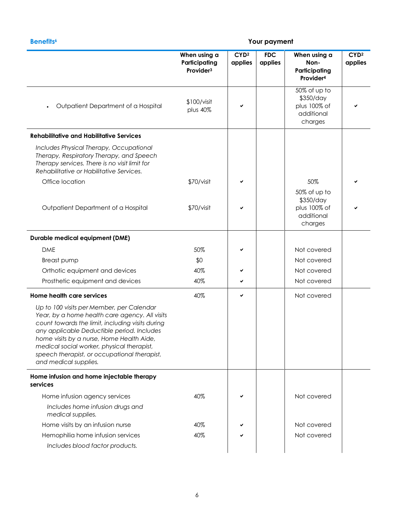| <b>Benefits<sup>6</sup></b>                                                                                                                                                                                                                                                                                                                                       | Your payment                                           |                             |                       |                                                                    |                             |  |  |
|-------------------------------------------------------------------------------------------------------------------------------------------------------------------------------------------------------------------------------------------------------------------------------------------------------------------------------------------------------------------|--------------------------------------------------------|-----------------------------|-----------------------|--------------------------------------------------------------------|-----------------------------|--|--|
|                                                                                                                                                                                                                                                                                                                                                                   | When using a<br>Participating<br>Provider <sup>3</sup> | CYD <sup>2</sup><br>applies | <b>FDC</b><br>applies | When using a<br>Non-<br>Participating<br>Provider <sup>4</sup>     | CYD <sup>2</sup><br>applies |  |  |
| Outpatient Department of a Hospital                                                                                                                                                                                                                                                                                                                               | \$100/visit<br>plus 40%                                |                             |                       | 50% of up to<br>\$350/day<br>plus 100% of<br>additional<br>charges |                             |  |  |
| <b>Rehabilitative and Habilitative Services</b>                                                                                                                                                                                                                                                                                                                   |                                                        |                             |                       |                                                                    |                             |  |  |
| Includes Physical Therapy, Occupational<br>Therapy, Respiratory Therapy, and Speech<br>Therapy services. There is no visit limit for<br>Rehabilitative or Habilitative Services.                                                                                                                                                                                  |                                                        |                             |                       |                                                                    |                             |  |  |
| Office location                                                                                                                                                                                                                                                                                                                                                   | \$70/visit                                             |                             |                       | 50%<br>50% of up to<br>\$350/day                                   |                             |  |  |
| Outpatient Department of a Hospital                                                                                                                                                                                                                                                                                                                               | \$70/visit                                             |                             |                       | plus 100% of<br>additional<br>charges                              |                             |  |  |
| <b>Durable medical equipment (DME)</b>                                                                                                                                                                                                                                                                                                                            |                                                        |                             |                       |                                                                    |                             |  |  |
| <b>DME</b>                                                                                                                                                                                                                                                                                                                                                        | 50%                                                    |                             |                       | Not covered                                                        |                             |  |  |
| Breast pump                                                                                                                                                                                                                                                                                                                                                       | \$0                                                    |                             |                       | Not covered                                                        |                             |  |  |
| Orthotic equipment and devices                                                                                                                                                                                                                                                                                                                                    | 40%                                                    |                             |                       | Not covered                                                        |                             |  |  |
| Prosthetic equipment and devices                                                                                                                                                                                                                                                                                                                                  | 40%                                                    | ✔                           |                       | Not covered                                                        |                             |  |  |
| Home health care services                                                                                                                                                                                                                                                                                                                                         | 40%                                                    | ✔                           |                       | Not covered                                                        |                             |  |  |
| Up to 100 visits per Member, per Calendar<br>Year, by a home health care agency. All visits<br>count towards the limit, including visits during<br>any applicable Deductible period. Includes<br>home visits by a nurse, Home Health Aide,<br>medical social worker, physical therapist,<br>speech therapist, or occupational therapist,<br>and medical supplies. |                                                        |                             |                       |                                                                    |                             |  |  |
| Home infusion and home injectable therapy<br>services                                                                                                                                                                                                                                                                                                             |                                                        |                             |                       |                                                                    |                             |  |  |
| Home infusion agency services                                                                                                                                                                                                                                                                                                                                     | 40%                                                    |                             |                       | Not covered                                                        |                             |  |  |
| Includes home infusion drugs and<br>medical supplies.                                                                                                                                                                                                                                                                                                             |                                                        |                             |                       |                                                                    |                             |  |  |
| Home visits by an infusion nurse                                                                                                                                                                                                                                                                                                                                  | 40%                                                    |                             |                       | Not covered                                                        |                             |  |  |
| Hemophilia home infusion services<br>Includes blood factor products.                                                                                                                                                                                                                                                                                              | 40%                                                    |                             |                       | Not covered                                                        |                             |  |  |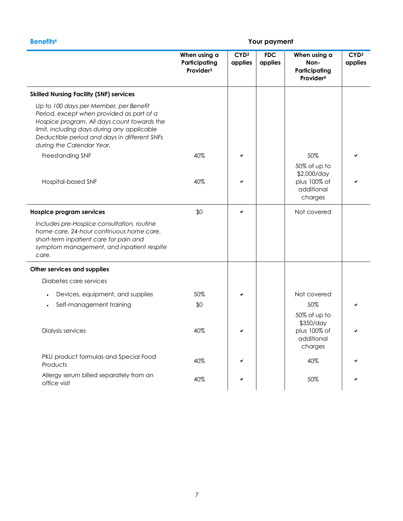### **Benefits<sup>6</sup> Your payment**

|                                                                                                                                                                                                                                                                | When using a<br>Participating<br>Provider <sup>3</sup> | CYD <sup>2</sup><br>applies | <b>FDC</b><br>applies | When using a<br>Non-<br>Participating<br>Provider <sup>4</sup>       | CYD <sup>2</sup><br>applies |
|----------------------------------------------------------------------------------------------------------------------------------------------------------------------------------------------------------------------------------------------------------------|--------------------------------------------------------|-----------------------------|-----------------------|----------------------------------------------------------------------|-----------------------------|
| <b>Skilled Nursing Facility (SNF) services</b>                                                                                                                                                                                                                 |                                                        |                             |                       |                                                                      |                             |
| Up to 100 days per Member, per Benefit<br>Period, except when provided as part of a<br>Hospice program. All days count towards the<br>limit, including days during any applicable<br>Deductible period and days in different SNFs<br>during the Calendar Year. |                                                        |                             |                       |                                                                      |                             |
| Freestanding SNF                                                                                                                                                                                                                                               | 40%                                                    |                             |                       | 50%                                                                  |                             |
| Hospital-based SNF                                                                                                                                                                                                                                             | 40%                                                    |                             |                       | 50% of up to<br>\$2,000/day<br>plus 100% of<br>additional<br>charges |                             |
| <b>Hospice program services</b>                                                                                                                                                                                                                                | \$0                                                    |                             |                       | Not covered                                                          |                             |
| Includes pre-Hospice consultation, routine<br>home care, 24-hour continuous home care,<br>short-term inpatient care for pain and<br>symptom management, and inpatient respite<br>care.                                                                         |                                                        |                             |                       |                                                                      |                             |
| Other services and supplies                                                                                                                                                                                                                                    |                                                        |                             |                       |                                                                      |                             |
| Diabetes care services                                                                                                                                                                                                                                         |                                                        |                             |                       |                                                                      |                             |
| Devices, equipment, and supplies                                                                                                                                                                                                                               | 50%                                                    |                             |                       | Not covered                                                          |                             |
| Self-management training                                                                                                                                                                                                                                       | \$0                                                    |                             |                       | 50%                                                                  |                             |
| Dialysis services                                                                                                                                                                                                                                              | 40%                                                    |                             |                       | 50% of up to<br>\$350/day<br>plus 100% of<br>additional<br>charges   |                             |
| PKU product formulas and Special Food<br>Products                                                                                                                                                                                                              | 40%                                                    |                             |                       | 40%                                                                  |                             |
| Allergy serum billed separately from an<br>office visit                                                                                                                                                                                                        | 40%                                                    |                             |                       | 50%                                                                  |                             |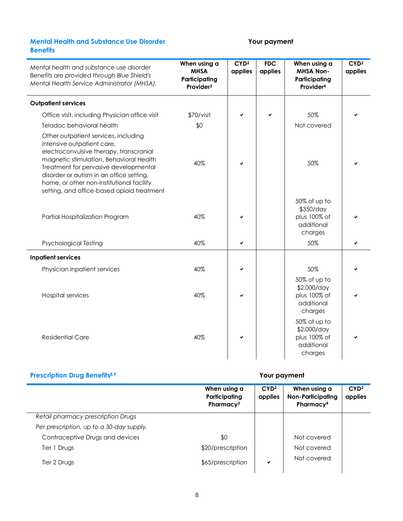### **Mental Health and Substance Use Disorder Benefits**

### **Your payment**

| Mental health and substance use disorder<br>Benefits are provided through Blue Shield's<br>Mental Health Service Administrator (MHSA).                                                                                                                                                                                                   | When using a<br><b>MHSA</b><br>Participating<br>Provider <sup>3</sup> | CYD <sup>2</sup><br>applies | <b>FDC</b><br>applies | When using a<br><b>MHSA Non-</b><br>Participating<br>Provider <sup>4</sup> | CYD <sup>2</sup><br>applies |
|------------------------------------------------------------------------------------------------------------------------------------------------------------------------------------------------------------------------------------------------------------------------------------------------------------------------------------------|-----------------------------------------------------------------------|-----------------------------|-----------------------|----------------------------------------------------------------------------|-----------------------------|
| <b>Outpatient services</b>                                                                                                                                                                                                                                                                                                               |                                                                       |                             |                       |                                                                            |                             |
| Office visit, including Physician office visit                                                                                                                                                                                                                                                                                           | \$70/visit                                                            | ✓                           | ✓                     | 50%                                                                        |                             |
| Teladoc behavioral health                                                                                                                                                                                                                                                                                                                | \$0                                                                   |                             |                       | Not covered                                                                |                             |
| Other outpatient services, including<br>intensive outpatient care,<br>electroconvulsive therapy, transcranial<br>magnetic stimulation, Behavioral Health<br>Treatment for pervasive developmental<br>disorder or autism in an office setting,<br>home, or other non-institutional facility<br>setting, and office-based opioid treatment | 40%                                                                   | ✓                           |                       | 50%                                                                        |                             |
| Partial Hospitalization Program                                                                                                                                                                                                                                                                                                          | 40%                                                                   |                             |                       | 50% of up to<br>\$350/day<br>plus 100% of<br>additional<br>charges         |                             |
| <b>Psychological Testing</b>                                                                                                                                                                                                                                                                                                             | 40%                                                                   | ✔                           |                       | 50%                                                                        | ✔                           |
| <b>Inpatient services</b>                                                                                                                                                                                                                                                                                                                |                                                                       |                             |                       |                                                                            |                             |
| Physician inpatient services                                                                                                                                                                                                                                                                                                             | 40%                                                                   |                             |                       | 50%                                                                        |                             |
| <b>Hospital services</b>                                                                                                                                                                                                                                                                                                                 | 40%                                                                   |                             |                       | 50% of up to<br>\$2,000/day<br>plus 100% of<br>additional<br>charges       |                             |
| <b>Residential Care</b>                                                                                                                                                                                                                                                                                                                  | 40%                                                                   | ✓                           |                       | 50% of up to<br>\$2,000/day<br>plus 100% of<br>additional<br>charges       |                             |

### **Prescription Drug Benefits8,9 Your payment**

|                                          | When using a<br>Participating<br>Pharmacy <sup>3</sup> | CYD <sup>2</sup><br>applies | When using a<br><b>Non-Participating</b><br>Pharmacy <sup>4</sup> | CYD <sup>2</sup><br>applies |
|------------------------------------------|--------------------------------------------------------|-----------------------------|-------------------------------------------------------------------|-----------------------------|
| Retail pharmacy prescription Drugs       |                                                        |                             |                                                                   |                             |
| Per prescription, up to a 30-day supply. |                                                        |                             |                                                                   |                             |
| Contraceptive Drugs and devices          | \$0                                                    |                             | Not covered                                                       |                             |
| Tier 1 Drugs                             | \$20/prescription                                      |                             | Not covered                                                       |                             |
| Tier 2 Drugs                             | \$65/prescription                                      | ✔                           | Not covered                                                       |                             |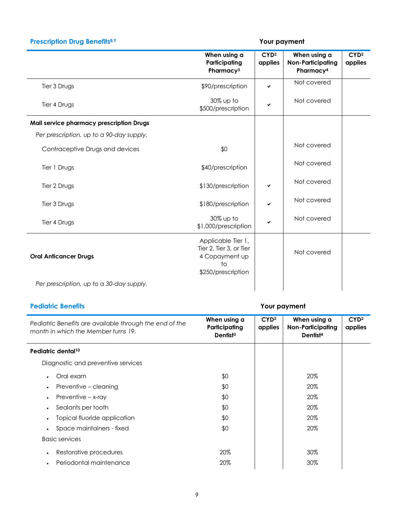### **Prescription Drug Benefits8,9 Your payment**

|                                          | When using a<br>Participating<br>Pharmacy <sup>3</sup>                                      | CYD <sup>2</sup><br>applies | When using a<br><b>Non-Participating</b><br>Pharmacy <sup>4</sup> | CYD <sup>2</sup><br>applies |
|------------------------------------------|---------------------------------------------------------------------------------------------|-----------------------------|-------------------------------------------------------------------|-----------------------------|
| Tier 3 Drugs                             | \$90/prescription                                                                           | ✔                           | Not covered                                                       |                             |
| Tier 4 Drugs                             | 30% up to<br>\$500/prescription                                                             |                             | Not covered                                                       |                             |
| Mail service pharmacy prescription Drugs |                                                                                             |                             |                                                                   |                             |
| Per prescription, up to a 90-day supply. |                                                                                             |                             |                                                                   |                             |
| Contraceptive Drugs and devices          | \$0                                                                                         |                             | Not covered                                                       |                             |
| Tier 1 Drugs                             | \$40/prescription                                                                           |                             | Not covered                                                       |                             |
| Tier 2 Drugs                             | \$130/prescription                                                                          | ✔                           | Not covered                                                       |                             |
| Tier 3 Drugs                             | \$180/prescription                                                                          | ✔                           | Not covered                                                       |                             |
| Tier 4 Drugs                             | 30% up to<br>\$1,000/prescription                                                           | ✔                           | Not covered                                                       |                             |
| <b>Oral Anticancer Drugs</b>             | Applicable Tier 1,<br>Tier 2, Tier 3, or Tier<br>4 Copayment up<br>to<br>\$250/prescription |                             | Not covered                                                       |                             |
| Per prescription, up to a 30-day supply. |                                                                                             |                             |                                                                   |                             |

### **Pediatric Benefits Your payment** *Pediatric Benefits are available through the end of the month in which the Member turns 19.* **When using a Participating Dentist<sup>3</sup> CYD<sup>2</sup> applies When using a Non-Participating Dentist<sup>4</sup> CYD<sup>2</sup> applies Pediatric dental<sup>10</sup>** Diagnostic and preventive services Oral exam \$0 20% • Preventive – cleaning  $$0$   $$0$   $$20\%$ • Preventive – x-ray  $\text{S0}$  and  $\text{S1}$  and  $\text{S20}$  and  $\text{S1}$  and  $\text{S1}$  and  $\text{S1}$  and  $\text{S20}$  and  $\text{S1}$ Sealants per tooth  $\sim$  30% by Sealants per tooth  $\sim$  20% • Topical fluoride application  $$0$   $$0$   $$20\%$ • Space maintainers - fixed  $$0$   $$0$   $$20\%$ Basic services • Restorative procedures 20% 20% 20% 30% • Periodontal maintenance  $20\%$  20% and  $20\%$  30%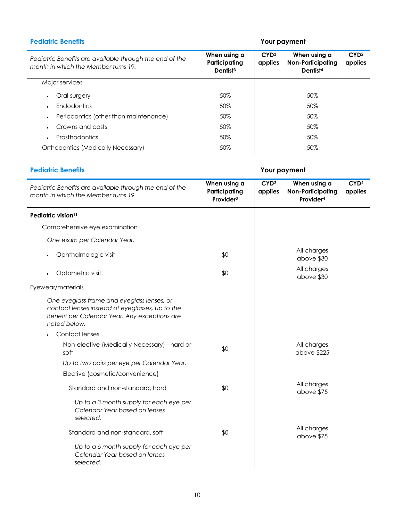| <b>Pediatric Benefits</b>                                                                      | Your payment                                          |                             |                                                           |                             |
|------------------------------------------------------------------------------------------------|-------------------------------------------------------|-----------------------------|-----------------------------------------------------------|-----------------------------|
| Pediatric Benefits are available through the end of the<br>month in which the Member turns 19. | When using a<br>Participating<br>Dentist <sup>3</sup> | CYD <sup>2</sup><br>applies | When using a<br>Non-Participating<br>Dentist <sup>4</sup> | CYD <sup>2</sup><br>applies |
| Major services                                                                                 |                                                       |                             |                                                           |                             |
| Oral surgery<br>$\bullet$                                                                      | 50%                                                   |                             | 50%                                                       |                             |
| <b>Endodontics</b><br>$\bullet$                                                                | 50%                                                   |                             | 50%                                                       |                             |
| Periodontics (other than maintenance)<br>$\bullet$                                             | 50%                                                   |                             | 50%                                                       |                             |
| Crowns and casts<br>٠                                                                          | 50%                                                   |                             | 50%                                                       |                             |
| <b>Prosthodontics</b><br>٠                                                                     | 50%                                                   |                             | 50%                                                       |                             |
| Orthodontics (Medically Necessary)                                                             | 50%                                                   |                             | 50%                                                       |                             |

### **Pediatric Benefits Your payment**

| Pediatric Benefits are available through the end of the<br>month in which the Member turns 19.                                                                 | When using a<br>Participating<br>Provider <sup>3</sup> | CYD <sup>2</sup><br>applies | When using a<br><b>Non-Participating</b><br>Provider <sup>4</sup> | CYD <sup>2</sup><br>applies |
|----------------------------------------------------------------------------------------------------------------------------------------------------------------|--------------------------------------------------------|-----------------------------|-------------------------------------------------------------------|-----------------------------|
| Pediatric vision <sup>11</sup>                                                                                                                                 |                                                        |                             |                                                                   |                             |
| Comprehensive eye examination                                                                                                                                  |                                                        |                             |                                                                   |                             |
| One exam per Calendar Year.                                                                                                                                    |                                                        |                             |                                                                   |                             |
| Ophthalmologic visit                                                                                                                                           | \$0                                                    |                             | All charges<br>above \$30                                         |                             |
| Optometric visit                                                                                                                                               | \$0                                                    |                             | All charges<br>above \$30                                         |                             |
| Eyewear/materials                                                                                                                                              |                                                        |                             |                                                                   |                             |
| One eyeglass frame and eyeglass lenses, or<br>contact lenses instead of eyeglasses, up to the<br>Benefit per Calendar Year. Any exceptions are<br>noted below. |                                                        |                             |                                                                   |                             |
| Contact lenses                                                                                                                                                 |                                                        |                             |                                                                   |                             |
| Non-elective (Medically Necessary) - hard or<br>soft                                                                                                           | \$0                                                    |                             | All charges<br>above \$225                                        |                             |
| Up to two pairs per eye per Calendar Year.                                                                                                                     |                                                        |                             |                                                                   |                             |
| Elective (cosmetic/convenience)                                                                                                                                |                                                        |                             |                                                                   |                             |
| Standard and non-standard, hard                                                                                                                                | \$0                                                    |                             | All charges<br>above \$75                                         |                             |
| Up to a 3 month supply for each eye per<br>Calendar Year based on lenses<br>selected.                                                                          |                                                        |                             |                                                                   |                             |
| Standard and non-standard, soft                                                                                                                                | \$0                                                    |                             | All charges<br>above \$75                                         |                             |
| Up to a 6 month supply for each eye per<br>Calendar Year based on lenses<br>selected.                                                                          |                                                        |                             |                                                                   |                             |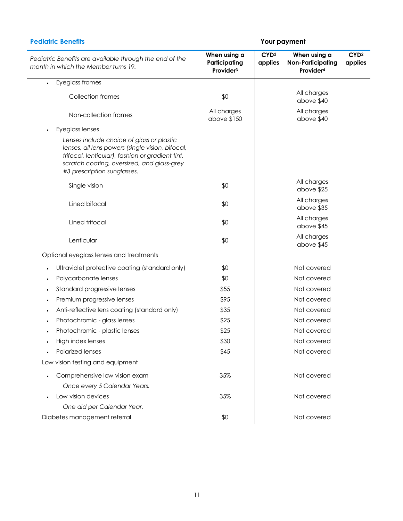### **Pediatric Benefits Your payment**

| Pediatric Benefits are available through the end of the<br>month in which the Member turns 19.                                                                                                                                 | When using a<br>Participating<br>Provider <sup>3</sup> | CYD <sup>2</sup><br>applies | When using a<br><b>Non-Participating</b><br>Provider <sup>4</sup> | CYD <sup>2</sup><br>applies |
|--------------------------------------------------------------------------------------------------------------------------------------------------------------------------------------------------------------------------------|--------------------------------------------------------|-----------------------------|-------------------------------------------------------------------|-----------------------------|
| Eyeglass frames                                                                                                                                                                                                                |                                                        |                             |                                                                   |                             |
| <b>Collection frames</b>                                                                                                                                                                                                       | \$0                                                    |                             | All charges<br>above \$40                                         |                             |
| Non-collection frames                                                                                                                                                                                                          | All charges<br>above \$150                             |                             | All charges<br>above \$40                                         |                             |
| Eyeglass lenses                                                                                                                                                                                                                |                                                        |                             |                                                                   |                             |
| Lenses include choice of glass or plastic<br>lenses, all lens powers (single vision, bifocal,<br>trifocal, lenticular), fashion or gradient tint,<br>scratch coating, oversized, and glass-grey<br>#3 prescription sunglasses. |                                                        |                             |                                                                   |                             |
| Single vision                                                                                                                                                                                                                  | \$0                                                    |                             | All charges<br>above \$25                                         |                             |
| Lined bifocal                                                                                                                                                                                                                  | \$0                                                    |                             | All charges<br>above \$35                                         |                             |
| Lined trifocal                                                                                                                                                                                                                 | \$0                                                    |                             | All charges<br>above \$45                                         |                             |
| Lenticular                                                                                                                                                                                                                     | \$0                                                    |                             | All charges<br>above \$45                                         |                             |
| Optional eyeglass lenses and treatments                                                                                                                                                                                        |                                                        |                             |                                                                   |                             |
| Ultraviolet protective coating (standard only)                                                                                                                                                                                 | \$0                                                    |                             | Not covered                                                       |                             |
| Polycarbonate lenses<br>$\bullet$                                                                                                                                                                                              | \$0                                                    |                             | Not covered                                                       |                             |
| Standard progressive lenses                                                                                                                                                                                                    | \$55                                                   |                             | Not covered                                                       |                             |
| Premium progressive lenses                                                                                                                                                                                                     | \$95                                                   |                             | Not covered                                                       |                             |
| Anti-reflective lens coating (standard only)                                                                                                                                                                                   | \$35                                                   |                             | Not covered                                                       |                             |
| Photochromic - glass lenses                                                                                                                                                                                                    | \$25                                                   |                             | Not covered                                                       |                             |
| Photochromic - plastic lenses                                                                                                                                                                                                  | \$25                                                   |                             | Not covered                                                       |                             |
| High index lenses                                                                                                                                                                                                              | \$30                                                   |                             | Not covered                                                       |                             |
| Polarized lenses                                                                                                                                                                                                               | \$45                                                   |                             | Not covered                                                       |                             |
| Low vision testing and equipment                                                                                                                                                                                               |                                                        |                             |                                                                   |                             |
| Comprehensive low vision exam                                                                                                                                                                                                  | 35%                                                    |                             | Not covered                                                       |                             |
| Once every 5 Calendar Years.                                                                                                                                                                                                   |                                                        |                             |                                                                   |                             |
| Low vision devices<br>One aid per Calendar Year.                                                                                                                                                                               | 35%                                                    |                             | Not covered                                                       |                             |
| Diabetes management referral                                                                                                                                                                                                   | \$0                                                    |                             | Not covered                                                       |                             |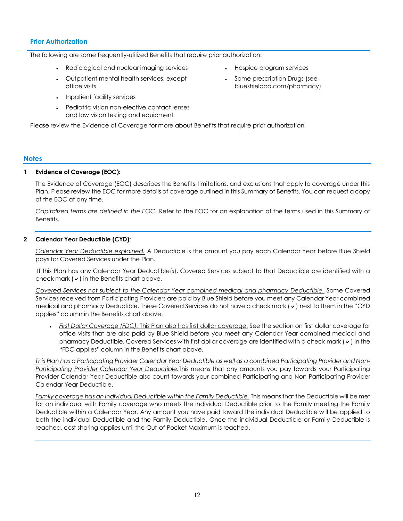### **Prior Authorization**

The following are some frequently-utilized Benefits that require prior authorization:

- Radiological and nuclear imaging services Hospice program services
- Outpatient mental health services, except office visits
- Inpatient facility services
- Pediatric vision non-elective contact lenses and low vision testing and equipment

Please review the Evidence of Coverage for more about Benefits that require prior authorization.

### **Notes**

### **1 Evidence of Coverage (EOC):**

The Evidence of Coverage (EOC) describes the Benefits, limitations, and exclusions that apply to coverage under this Plan. Please review the EOC for more details of coverage outlined in this Summary of Benefits. You can request a copy of the EOC at any time.

*Capitalized terms are defined in the EOC.* Refer to the EOC for an explanation of the terms used in this Summary of Benefits.

### **2 Calendar Year Deductible (CYD):**

*Calendar Year Deductible explained.* A Deductible is the amount you pay each Calendar Year before Blue Shield pays for Covered Services under the Plan.

If this Plan has any Calendar Year Deductible(s), Covered Services subject to that Deductible are identified with a check mark  $(v)$  in the Benefits chart above.

*Covered Services not subject to the Calendar Year combined medical and pharmacy Deductible.* Some Covered Services received from Participating Providers are paid by Blue Shield before you meet any Calendar Year combined medical and pharmacy Deductible. These Covered Services do not have a check mark ( $\checkmark$ ) next to them in the "CYD applies" column in the Benefits chart above.

 *First Dollar Coverage (FDC).* This Plan also has first dollar coverage. See the section on first dollar coverage for office visits that are also paid by Blue Shield before you meet any Calendar Year combined medical and pharmacy Deductible. Covered Services with first dollar coverage are identified with a check mark  $(v)$  in the "FDC applies" column in the Benefits chart above.

*This Plan has a Participating Provider Calendar Year Deductible as well as a combined Participating Provider and Non-Participating Provider Calendar Year Deductible.*This means that any amounts you pay towards your Participating Provider Calendar Year Deductible also count towards your combined Participating and Non-Participating Provider Calendar Year Deductible.

*Family coverage has an individual Deductible within the Family Deductible.* This means that the Deductible will be met for an individual with Family coverage who meets the individual Deductible prior to the Family meeting the Family Deductible within a Calendar Year. Any amount you have paid toward the individual Deductible will be applied to both the individual Deductible and the Family Deductible. Once the individual Deductible or Family Deductible is reached, cost sharing applies until the Out-of-Pocket Maximum is reached.

- 
- Some prescription Drugs (see blueshieldca.com/pharmacy)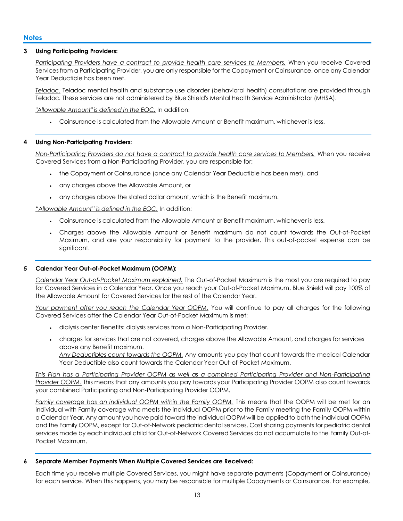### **3 Using Participating Providers:**

*Participating Providers have a contract to provide health care services to Members.* When you receive Covered Services from a Participating Provider, you are only responsible for the Copayment or Coinsurance, once any Calendar Year Deductible has been met.

*Teladoc.* Teladoc mental health and substance use disorder (behavioral health) consultations are provided through Teladoc. These services are not administered by Blue Shield's Mental Health Service Administrator (MHSA).

*"Allowable Amount" is defined in the EOC.* In addition:

Coinsurance is calculated from the Allowable Amount or Benefit maximum, whichever is less.

### **4 Using Non-Participating Providers:**

*Non-Participating Providers do not have a contract to provide health care services to Members.* When you receive Covered Services from a Non-Participating Provider, you are responsible for:

- the Copayment or Coinsurance (once any Calendar Year Deductible has been met), and
- any charges above the Allowable Amount, or
- any charges above the stated dollar amount, which is the Benefit maximum.

*"Allowable Amount" is defined in the EOC.* In addition:

- Coinsurance is calculated from the Allowable Amount or Benefit maximum, whichever is less.
- Charges above the Allowable Amount or Benefit maximum do not count towards the Out-of-Pocket Maximum, and are your responsibility for payment to the provider. This out-of-pocket expense can be significant.

### **5 Calendar Year Out-of-Pocket Maximum (OOPM):**

*Calendar Year Out-of-Pocket Maximum explained.* The Out-of-Pocket Maximum is the most you are required to pay for Covered Services in a Calendar Year. Once you reach your Out-of-Pocket Maximum, Blue Shield will pay 100% of the Allowable Amount for Covered Services for the rest of the Calendar Year.

*Your payment after you reach the Calendar Year OOPM.* You will continue to pay all charges for the following Covered Services after the Calendar Year Out-of-Pocket Maximum is met:

- dialysis center Benefits: dialysis services from a Non-Participating Provider.
- charges for services that are not covered, charges above the Allowable Amount, and charges for services above any Benefit maximum. *Any Deductibles count towards the OOPM.* Any amounts you pay that count towards the medical Calendar Year Deductible also count towards the Calendar Year Out-of-Pocket Maximum.

*This Plan has a Participating Provider OOPM as well as a combined Participating Provider and Non-Participating Provider OOPM.* This means that any amounts you pay towards your Participating Provider OOPM also count towards your combined Participating and Non-Participating Provider OOPM.

*Family coverage has an individual OOPM within the Family OOPM.* This means that the OOPM will be met for an individual with Family coverage who meets the individual OOPM prior to the Family meeting the Family OOPM within a Calendar Year. Any amount you have paid toward the individual OOPM will be applied to both the individual OOPM and the Family OOPM, except for Out-of-Network pediatric dental services. Cost sharing payments for pediatric dental services made by each individual child for Out-of-Network Covered Services do not accumulate to the Family Out-of-Pocket Maximum.

### **6 Separate Member Payments When Multiple Covered Services are Received:**

Each time you receive multiple Covered Services, you might have separate payments (Copayment or Coinsurance) for each service. When this happens, you may be responsible for multiple Copayments or Coinsurance. For example,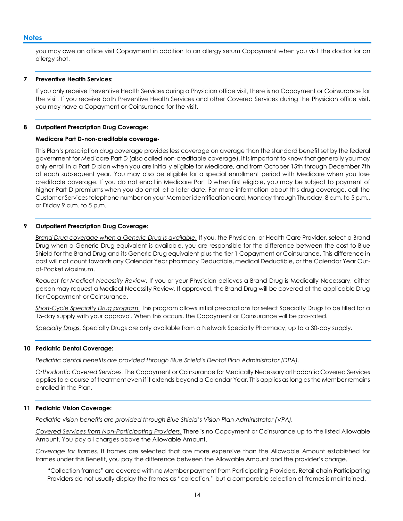### **Notes**

you may owe an office visit Copayment in addition to an allergy serum Copayment when you visit the doctor for an allergy shot.

### **7 Preventive Health Services:**

If you only receive Preventive Health Services during a Physician office visit, there is no Copayment or Coinsurance for the visit. If you receive both Preventive Health Services and other Covered Services during the Physician office visit, you may have a Copayment or Coinsurance for the visit.

### **8 Outpatient Prescription Drug Coverage:**

### **Medicare Part D-non-creditable coverage-**

This Plan's prescription drug coverage provides less coverage on average than the standard benefit set by the federal government for Medicare Part D (also called non-creditable coverage). It is important to know that generally you may only enroll in a Part D plan when you are initially eligible for Medicare, and from October 15th through December 7th of each subsequent year. You may also be eligible for a special enrollment period with Medicare when you lose creditable coverage. If you do not enroll in Medicare Part D when first eligible, you may be subject to payment of higher Part D premiums when you do enroll at a later date. For more information about this drug coverage, call the Customer Services telephone number on your Member identification card, Monday through Thursday, 8 a.m. to 5 p.m., or Friday 9 a.m. to 5 p.m.

### **9 Outpatient Prescription Drug Coverage:**

*Brand Drug coverage when a Generic Drug is available.* If you, the Physician, or Health Care Provider, select a Brand Drug when a Generic Drug equivalent is available, you are responsible for the difference between the cost to Blue Shield for the Brand Drug and its Generic Drug equivalent plus the tier 1 Copayment or Coinsurance. This difference in cost will not count towards any Calendar Year pharmacy Deductible, medical Deductible, or the Calendar Year Outof-Pocket Maximum.

*Request for Medical Necessity Review.* If you or your Physician believes a Brand Drug is Medically Necessary, either person may request a Medical Necessity Review. If approved, the Brand Drug will be covered at the applicable Drug tier Copayment or Coinsurance.

*Short-Cycle Specialty Drug program.* This program allows initial prescriptions for select Specialty Drugs to be filled for a 15-day supply with your approval. When this occurs, the Copayment or Coinsurance will be pro-rated.

*Specialty Drugs.* Specialty Drugs are only available from a Network Specialty Pharmacy, up to a 30-day supply.

### **10 Pediatric Dental Coverage:**

*Pediatric dental benefits are provided through Blue Shield's Dental Plan Administrator (DPA).*

*Orthodontic Covered Services.* The Copayment or Coinsurance for Medically Necessary orthodontic Covered Services applies to a course of treatment even if it extends beyond a Calendar Year. This applies as long as the Member remains enrolled in the Plan.

### **11 Pediatric Vision Coverage:**

*Pediatric vision benefits are provided through Blue Shield's Vision Plan Administrator (VPA).*

*Covered Services from Non-Participating Providers.* There is no Copayment or Coinsurance up to the listed Allowable Amount. You pay all charges above the Allowable Amount.

*Coverage for frames.* If frames are selected that are more expensive than the Allowable Amount established for frames under this Benefit, you pay the difference between the Allowable Amount and the provider's charge.

"Collection frames" are covered with no Member payment from Participating Providers. Retail chain Participating Providers do not usually display the frames as "collection," but a comparable selection of frames is maintained.